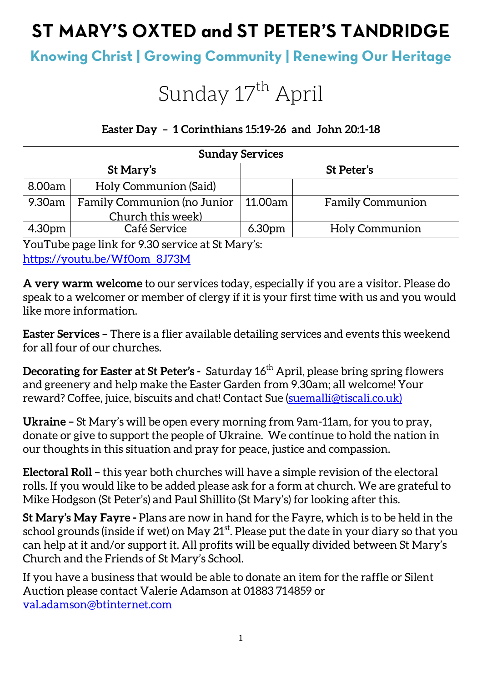## **ST MARY'S OXTED and ST PETER'S TANDRIDGE**

### **Knowing Christ | Growing Community | Renewing Our Heritage**

# Sunday 17<sup>th</sup> April

#### **Easter Day – 1 Corinthians 15:19-26 and John 20:1-18**

| <b>Sunday Services</b> |                                    |                    |                         |  |
|------------------------|------------------------------------|--------------------|-------------------------|--|
| St Mary's              |                                    | St Peter's         |                         |  |
| 8.00am                 | Holy Communion (Said)              |                    |                         |  |
| 9.30am                 | <b>Family Communion (no Junior</b> | 11.00am            | <b>Family Communion</b> |  |
|                        | Church this week)                  |                    |                         |  |
| 4.30pm                 | Café Service                       | 6.30 <sub>pm</sub> | <b>Holy Communion</b>   |  |

YouTube page link for 9.30 service at St Mary's: https://youtu.be/Wf0om\_8J73M

**A very warm welcome** to our services today, especially if you are a visitor. Please do speak to a welcomer or member of clergy if it is your first time with us and you would like more information.

**Easter Services –** There is a flier available detailing services and events this weekend for all four of our churches.

**Decorating for Easter at St Peter's -** Saturday 16<sup>th</sup> April, please bring spring flowers and greenery and help make the Easter Garden from 9.30am; all welcome! Your reward? Coffee, juice, biscuits and chat! Contact Sue (suemalli@tiscali.co.uk)

**Ukraine –** St Mary's will be open every morning from 9am-11am, for you to pray, donate or give to support the people of Ukraine. We continue to hold the nation in our thoughts in this situation and pray for peace, justice and compassion.

**Electoral Roll –** this year both churches will have a simple revision of the electoral rolls. If you would like to be added please ask for a form at church. We are grateful to Mike Hodgson (St Peter's) and Paul Shillito (St Mary's) for looking after this.

**St Mary's May Fayre -** Plans are now in hand for the Fayre, which is to be held in the school grounds (inside if wet) on May  $21^{st}$ . Please put the date in your diary so that you can help at it and/or support it. All profits will be equally divided between St Mary's Church and the Friends of St Mary's School.

If you have a business that would be able to donate an item for the raffle or Silent Auction please contact Valerie Adamson at 01883 714859 or val.adamson@btinternet.com